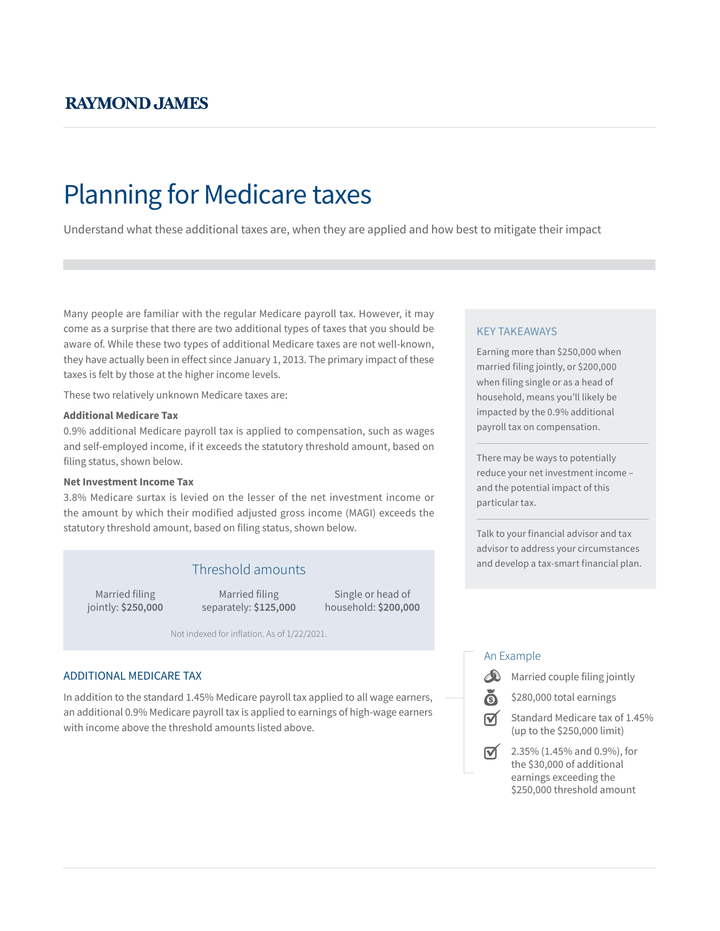# Planning for Medicare taxes

Understand what these additional taxes are, when they are applied and how best to mitigate their impact

Many people are familiar with the regular Medicare payroll tax. However, it may come as a surprise that there are two additional types of taxes that you should be aware of. While these two types of additional Medicare taxes are not well-known, they have actually been in effect since January 1, 2013. The primary impact of these taxes is felt by those at the higher income levels.

These two relatively unknown Medicare taxes are:

#### **Additional Medicare Tax**

0.9% additional Medicare payroll tax is applied to compensation, such as wages and self-employed income, if it exceeds the statutory threshold amount, based on filing status, shown below.

#### **Net Investment Income Tax**

3.8% Medicare surtax is levied on the lesser of the net investment income or the amount by which their modified adjusted gross income (MAGI) exceeds the statutory threshold amount, based on filing status, shown below.

Married filing jointly: **\$250,000**

Married filing separately: **\$125,000**

Single or head of household: **\$200,000**

Not indexed for inflation. As of 1/22/2021.

#### ADDITIONAL MEDICARE TAX

In addition to the standard 1.45% Medicare payroll tax applied to all wage earners, an additional 0.9% Medicare payroll tax is applied to earnings of high-wage earners with income above the threshold amounts listed above.

#### KEY TAKEAWAYS

Earning more than \$250,000 when married filing jointly, or \$200,000 when filing single or as a head of household, means you'll likely be impacted by the 0.9% additional payroll tax on compensation.

There may be ways to potentially reduce your net investment income – and the potential impact of this particular tax.

Talk to your financial advisor and tax advisor to address your circumstances and develop a tax-smart financial plan. Threshold amounts

#### An Example



\$280,000 total earnings



 $\triangledown$  2.35% (1.45% and 0.9%), for the \$30,000 of additional earnings exceeding the \$250,000 threshold amount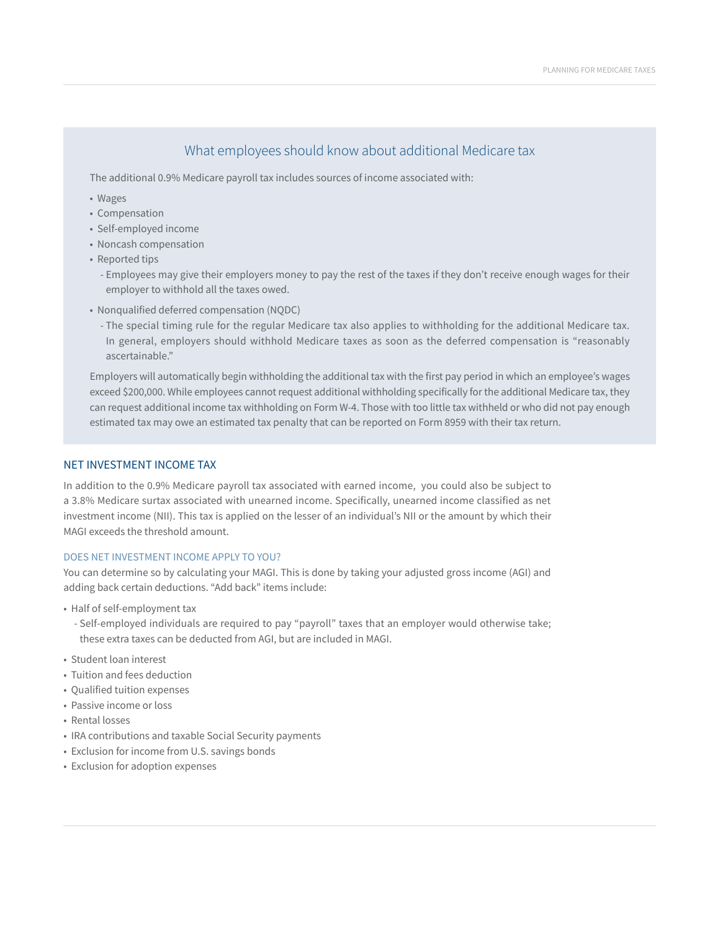# What employees should know about additional Medicare tax

The additional 0.9% Medicare payroll tax includes sources of income associated with:

- Wages
- Compensation
- Self-employed income
- Noncash compensation
- Reported tips
	- Employees may give their employers money to pay the rest of the taxes if they don't receive enough wages for their employer to withhold all the taxes owed.
- Nonqualified deferred compensation (NQDC)
	- The special timing rule for the regular Medicare tax also applies to withholding for the additional Medicare tax. In general, employers should withhold Medicare taxes as soon as the deferred compensation is "reasonably ascertainable."

Employers will automatically begin withholding the additional tax with the first pay period in which an employee's wages exceed \$200,000. While employees cannot request additional withholding specifically for the additional Medicare tax, they can request additional income tax withholding on Form W-4. Those with too little tax withheld or who did not pay enough estimated tax may owe an estimated tax penalty that can be reported on Form 8959 with their tax return.

#### NET INVESTMENT INCOME TAX

In addition to the 0.9% Medicare payroll tax associated with earned income, you could also be subject to a 3.8% Medicare surtax associated with unearned income. Specifically, unearned income classified as net investment income (NII). This tax is applied on the lesser of an individual's NII or the amount by which their MAGI exceeds the threshold amount.

#### DOES NET INVESTMENT INCOME APPLY TO YOU?

You can determine so by calculating your MAGI. This is done by taking your adjusted gross income (AGI) and adding back certain deductions. "Add back" items include:

- Half of self-employment tax
	- Self-employed individuals are required to pay "payroll" taxes that an employer would otherwise take; these extra taxes can be deducted from AGI, but are included in MAGI.
- Student loan interest
- Tuition and fees deduction
- Qualified tuition expenses
- Passive income or loss
- Rental losses
- IRA contributions and taxable Social Security payments
- Exclusion for income from U.S. savings bonds
- Exclusion for adoption expenses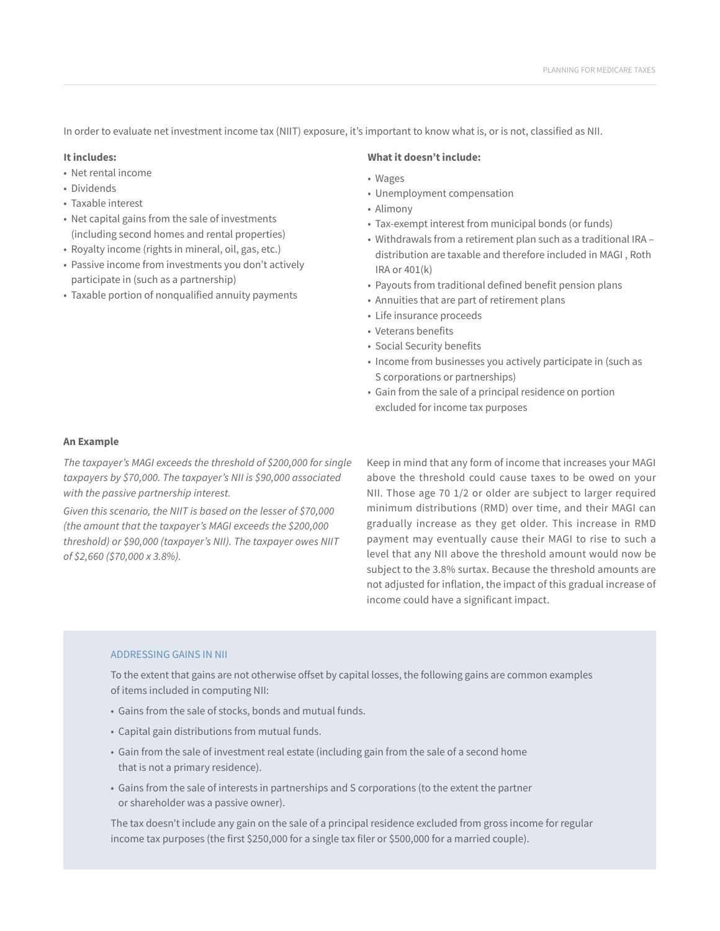In order to evaluate net investment income tax (NIIT) exposure, it's important to know what is, or is not, classified as NII.

#### **It includes:**

- Net rental income
- Dividends
- Taxable interest
- Net capital gains from the sale of investments (including second homes and rental properties)
- Royalty income (rights in mineral, oil, gas, etc.)
- Passive income from investments you don't actively participate in (such as a partnership)
- Taxable portion of nonqualified annuity payments

#### **What it doesn't include:**

- Wages
- Unemployment compensation
- Alimony
- Tax-exempt interest from municipal bonds (or funds)
- Withdrawals from a retirement plan such as a traditional IRA distribution are taxable and therefore included in MAGI , Roth IRA or 401(k)
- Payouts from traditional defined benefit pension plans
- Annuities that are part of retirement plans
- Life insurance proceeds
- Veterans benefits
- Social Security benefits
- Income from businesses you actively participate in (such as S corporations or partnerships)
- Gain from the sale of a principal residence on portion excluded for income tax purposes

#### **An Example**

*The taxpayer's MAGI exceeds the threshold of \$200,000 for single taxpayers by \$70,000. The taxpayer's NII is \$90,000 associated with the passive partnership interest.* 

*Given this scenario, the NIIT is based on the lesser of \$70,000 (the amount that the taxpayer's MAGI exceeds the \$200,000 threshold) or \$90,000 (taxpayer's NII). The taxpayer owes NIIT of \$2,660 (\$70,000 x 3.8%).*

Keep in mind that any form of income that increases your MAGI above the threshold could cause taxes to be owed on your NII. Those age 70 1/2 or older are subject to larger required minimum distributions (RMD) over time, and their MAGI can gradually increase as they get older. This increase in RMD payment may eventually cause their MAGI to rise to such a level that any NII above the threshold amount would now be subject to the 3.8% surtax. Because the threshold amounts are not adjusted for inflation, the impact of this gradual increase of income could have a significant impact.

#### ADDRESSING GAINS IN NII

To the extent that gains are not otherwise offset by capital losses, the following gains are common examples of items included in computing NII:

- Gains from the sale of stocks, bonds and mutual funds.
- Capital gain distributions from mutual funds.
- Gain from the sale of investment real estate (including gain from the sale of a second home that is not a primary residence).
- Gains from the sale of interests in partnerships and S corporations (to the extent the partner or shareholder was a passive owner).

The tax doesn't include any gain on the sale of a principal residence excluded from gross income for regular income tax purposes (the first \$250,000 for a single tax filer or \$500,000 for a married couple).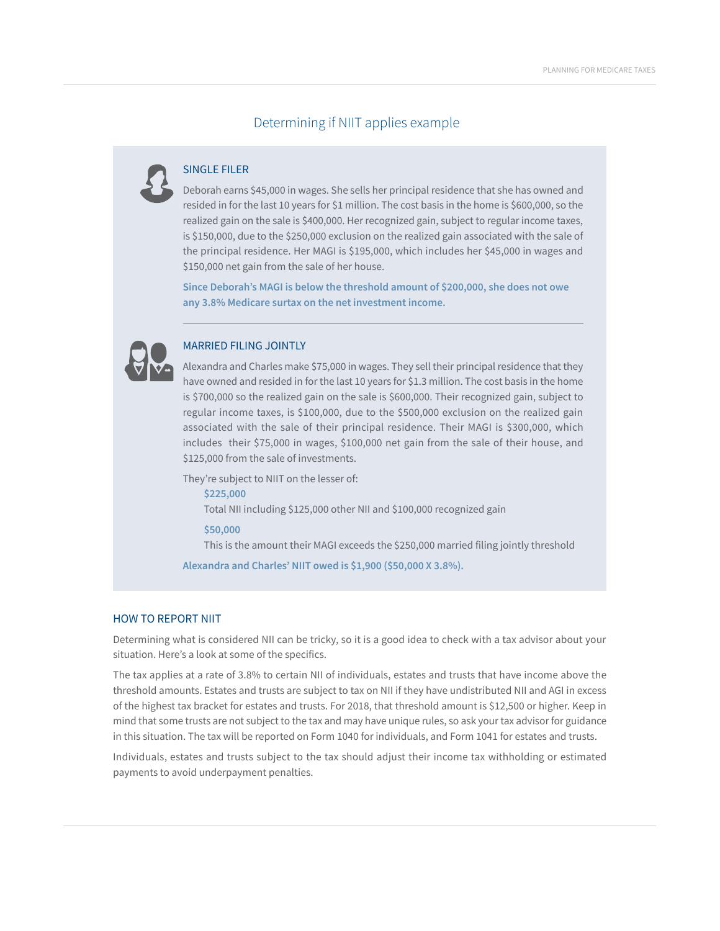## Determining if NIIT applies example



### SINGLE FILER

Deborah earns \$45,000 in wages. She sells her principal residence that she has owned and resided in for the last 10 years for \$1 million. The cost basis in the home is \$600,000, so the realized gain on the sale is \$400,000. Her recognized gain, subject to regular income taxes, is \$150,000, due to the \$250,000 exclusion on the realized gain associated with the sale of the principal residence. Her MAGI is \$195,000, which includes her \$45,000 in wages and \$150,000 net gain from the sale of her house.

**Since Deborah's MAGI is below the threshold amount of \$200,000, she does not owe any 3.8% Medicare surtax on the net investment income.**



#### MARRIED FILING JOINTLY

Alexandra and Charles make \$75,000 in wages. They sell their principal residence that they have owned and resided in for the last 10 years for \$1.3 million. The cost basis in the home is \$700,000 so the realized gain on the sale is \$600,000. Their recognized gain, subject to regular income taxes, is \$100,000, due to the \$500,000 exclusion on the realized gain associated with the sale of their principal residence. Their MAGI is \$300,000, which includes their \$75,000 in wages, \$100,000 net gain from the sale of their house, and \$125,000 from the sale of investments.

They're subject to NIIT on the lesser of: **\$225,000** Total NII including \$125,000 other NII and \$100,000 recognized gain **\$50,000** This is the amount their MAGI exceeds the \$250,000 married filing jointly threshold

**Alexandra and Charles' NIIT owed is \$1,900 (\$50,000 X 3.8%).**

#### HOW TO REPORT NIIT

Determining what is considered NII can be tricky, so it is a good idea to check with a tax advisor about your situation. Here's a look at some of the specifics.

The tax applies at a rate of 3.8% to certain NII of individuals, estates and trusts that have income above the threshold amounts. Estates and trusts are subject to tax on NII if they have undistributed NII and AGI in excess of the highest tax bracket for estates and trusts. For 2018, that threshold amount is \$12,500 or higher. Keep in mind that some trusts are not subject to the tax and may have unique rules, so ask your tax advisor for guidance in this situation. The tax will be reported on Form 1040 for individuals, and Form 1041 for estates and trusts.

Individuals, estates and trusts subject to the tax should adjust their income tax withholding or estimated payments to avoid underpayment penalties.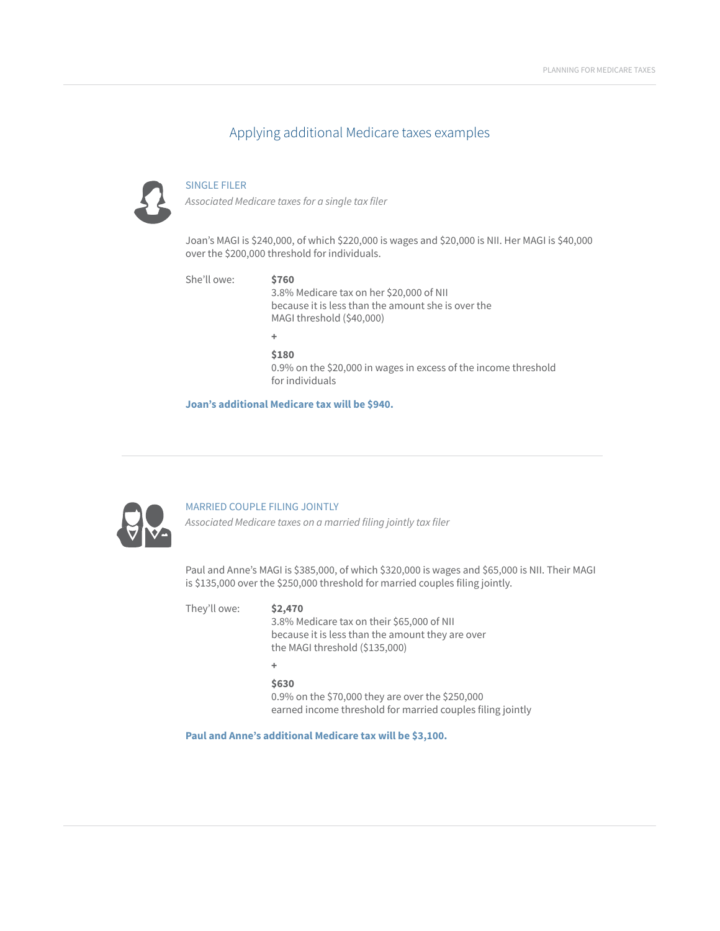# Applying additional Medicare taxes examples



#### SINGLE FILER

*Associated Medicare taxes for a single tax filer* 

Joan's MAGI is \$240,000, of which \$220,000 is wages and \$20,000 is NII. Her MAGI is \$40,000 over the \$200,000 threshold for individuals.

| She'll owe: | \$760<br>3.8% Medicare tax on her \$20,000 of NII<br>because it is less than the amount she is over the<br>MAGI threshold (\$40,000) |
|-------------|--------------------------------------------------------------------------------------------------------------------------------------|
|             | ٠                                                                                                                                    |
|             | \$180<br>0.9% on the \$20,000 in wages in excess of the income threshold<br>for individuals                                          |
|             | Joan's additional Medicare tax will be \$940.                                                                                        |



#### MARRIED COUPLE FILING JOINTLY

*Associated Medicare taxes on a married filing jointly tax filer* 

Paul and Anne's MAGI is \$385,000, of which \$320,000 is wages and \$65,000 is NII. Their MAGI is \$135,000 over the \$250,000 threshold for married couples filing jointly.

They'll owe: **\$2,470** 3.8% Medicare tax on their \$65,000 of NII because it is less than the amount they are over the MAGI threshold (\$135,000) **+**

# **\$630**

0.9% on the \$70,000 they are over the \$250,000 earned income threshold for married couples filing jointly

**Paul and Anne's additional Medicare tax will be \$3,100.**